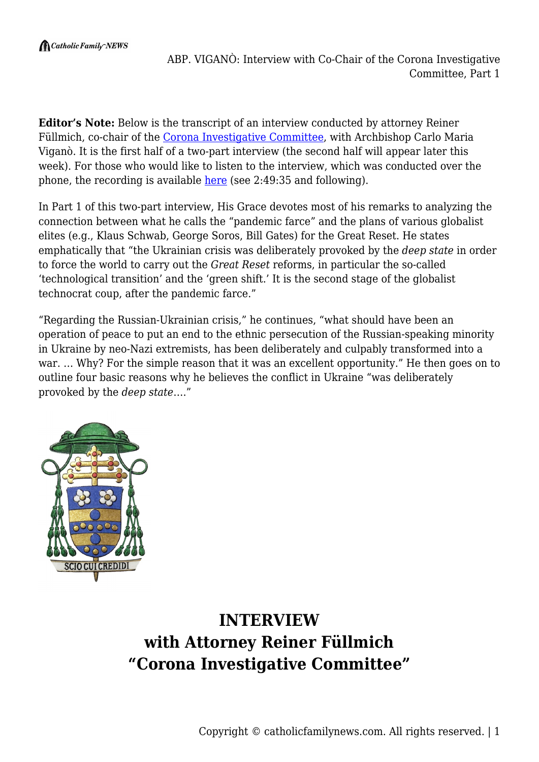$\bigcap$  Catholic Family NEWS

**Editor's Note:** Below is the transcript of an interview conducted by attorney Reiner Füllmich, co-chair of the [Corona Investigative Committee,](https://corona-investigative-committee.com/) with Archbishop Carlo Maria Viganò. It is the first half of a two-part interview (the second half will appear later this week). For those who would like to listen to the interview, which was conducted over the phone, the recording is available [here](https://odysee.com/@Corona-Investigative-Committee:5/s106en:a) (see 2:49:35 and following).

In Part 1 of this two-part interview, His Grace devotes most of his remarks to analyzing the connection between what he calls the "pandemic farce" and the plans of various globalist elites (e.g., Klaus Schwab, George Soros, Bill Gates) for the Great Reset. He states emphatically that "the Ukrainian crisis was deliberately provoked by the *deep state* in order to force the world to carry out the *Great Reset* reforms, in particular the so-called 'technological transition' and the 'green shift.' It is the second stage of the globalist technocrat coup, after the pandemic farce."

"Regarding the Russian-Ukrainian crisis," he continues, "what should have been an operation of peace to put an end to the ethnic persecution of the Russian-speaking minority in Ukraine by neo-Nazi extremists, has been deliberately and culpably transformed into a war. … Why? For the simple reason that it was an excellent opportunity." He then goes on to outline four basic reasons why he believes the conflict in Ukraine "was deliberately provoked by the *deep state*…."



## **INTERVIEW with Attorney Reiner Füllmich "Corona Investigative Committee"**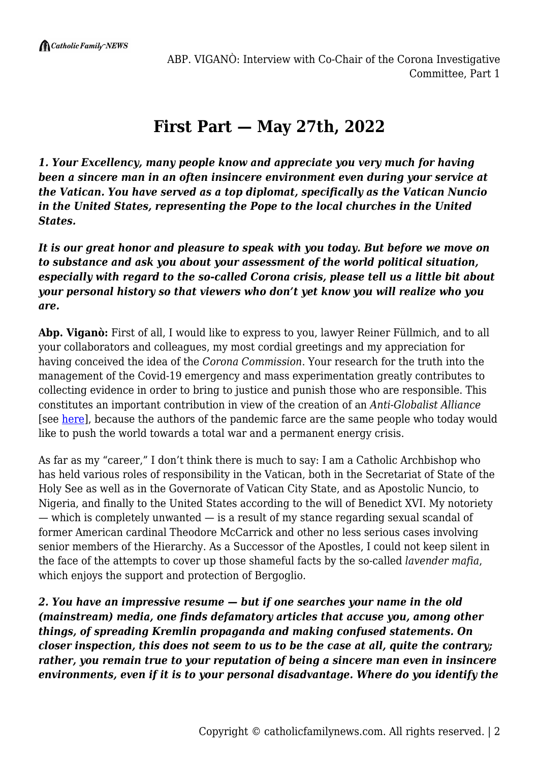## **First Part — May 27th, 2022**

*1. Your Excellency, many people know and appreciate you very much for having been a sincere man in an often insincere environment even during your service at the Vatican. You have served as a top diplomat, specifically as the Vatican Nuncio in the United States, representing the Pope to the local churches in the United States.*

*It is our great honor and pleasure to speak with you today. But before we move on to substance and ask you about your assessment of the world political situation, especially with regard to the so-called Corona crisis, please tell us a little bit about your personal history so that viewers who don't yet know you will realize who you are.*

**Abp. Viganò:** First of all, I would like to express to you, lawyer Reiner Füllmich, and to all your collaborators and colleagues, my most cordial greetings and my appreciation for having conceived the idea of the *Corona Commission*. Your research for the truth into the management of the Covid-19 emergency and mass experimentation greatly contributes to collecting evidence in order to bring to justice and punish those who are responsible. This constitutes an important contribution in view of the creation of an *Anti-Globalist Alliance* [see [here](https://catholicfamilynews.com/blog/2021/11/18/archbishop-vigano-calls-for-the-founding-of-anti-globalist-alliance/)], because the authors of the pandemic farce are the same people who today would like to push the world towards a total war and a permanent energy crisis.

As far as my "career," I don't think there is much to say: I am a Catholic Archbishop who has held various roles of responsibility in the Vatican, both in the Secretariat of State of the Holy See as well as in the Governorate of Vatican City State, and as Apostolic Nuncio, to Nigeria, and finally to the United States according to the will of Benedict XVI. My notoriety — which is completely unwanted — is a result of my stance regarding sexual scandal of former American cardinal Theodore McCarrick and other no less serious cases involving senior members of the Hierarchy. As a Successor of the Apostles, I could not keep silent in the face of the attempts to cover up those shameful facts by the so-called *lavender mafia*, which enjoys the support and protection of Bergoglio.

*2. You have an impressive resume — but if one searches your name in the old (mainstream) media, one finds defamatory articles that accuse you, among other things, of spreading Kremlin propaganda and making confused statements. On closer inspection, this does not seem to us to be the case at all, quite the contrary; rather, you remain true to your reputation of being a sincere man even in insincere environments, even if it is to your personal disadvantage. Where do you identify the*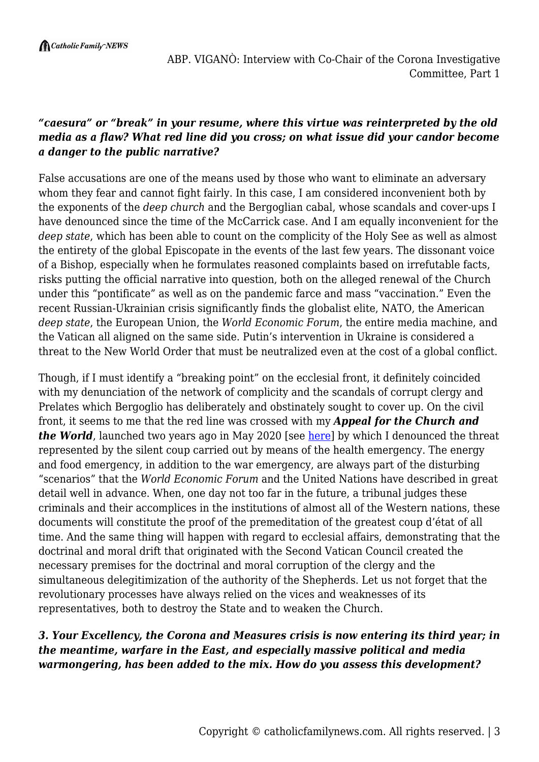## *"caesura" or "break" in your resume, where this virtue was reinterpreted by the old media as a flaw? What red line did you cross; on what issue did your candor become a danger to the public narrative?*

False accusations are one of the means used by those who want to eliminate an adversary whom they fear and cannot fight fairly. In this case, I am considered inconvenient both by the exponents of the *deep church* and the Bergoglian cabal, whose scandals and cover-ups I have denounced since the time of the McCarrick case. And I am equally inconvenient for the *deep state*, which has been able to count on the complicity of the Holy See as well as almost the entirety of the global Episcopate in the events of the last few years. The dissonant voice of a Bishop, especially when he formulates reasoned complaints based on irrefutable facts, risks putting the official narrative into question, both on the alleged renewal of the Church under this "pontificate" as well as on the pandemic farce and mass "vaccination." Even the recent Russian-Ukrainian crisis significantly finds the globalist elite, NATO, the American *deep state*, the European Union, the *World Economic Forum*, the entire media machine, and the Vatican all aligned on the same side. Putin's intervention in Ukraine is considered a threat to the New World Order that must be neutralized even at the cost of a global conflict.

Though, if I must identify a "breaking point" on the ecclesial front, it definitely coincided with my denunciation of the network of complicity and the scandals of corrupt clergy and Prelates which Bergoglio has deliberately and obstinately sought to cover up. On the civil front, it seems to me that the red line was crossed with my *Appeal for the Church and the World*, launched two years ago in May 2020 [see [here](https://www.lifesitenews.com/news/four-cardinals-join-global-appeal-decrying-crackdown-on-basic-freedoms-over-coronavirus/)] by which I denounced the threat represented by the silent coup carried out by means of the health emergency. The energy and food emergency, in addition to the war emergency, are always part of the disturbing "scenarios" that the *World Economic Forum* and the United Nations have described in great detail well in advance. When, one day not too far in the future, a tribunal judges these criminals and their accomplices in the institutions of almost all of the Western nations, these documents will constitute the proof of the premeditation of the greatest coup d'état of all time. And the same thing will happen with regard to ecclesial affairs, demonstrating that the doctrinal and moral drift that originated with the Second Vatican Council created the necessary premises for the doctrinal and moral corruption of the clergy and the simultaneous delegitimization of the authority of the Shepherds. Let us not forget that the revolutionary processes have always relied on the vices and weaknesses of its representatives, both to destroy the State and to weaken the Church.

## *3. Your Excellency, the Corona and Measures crisis is now entering its third year; in the meantime, warfare in the East, and especially massive political and media warmongering, has been added to the mix. How do you assess this development?*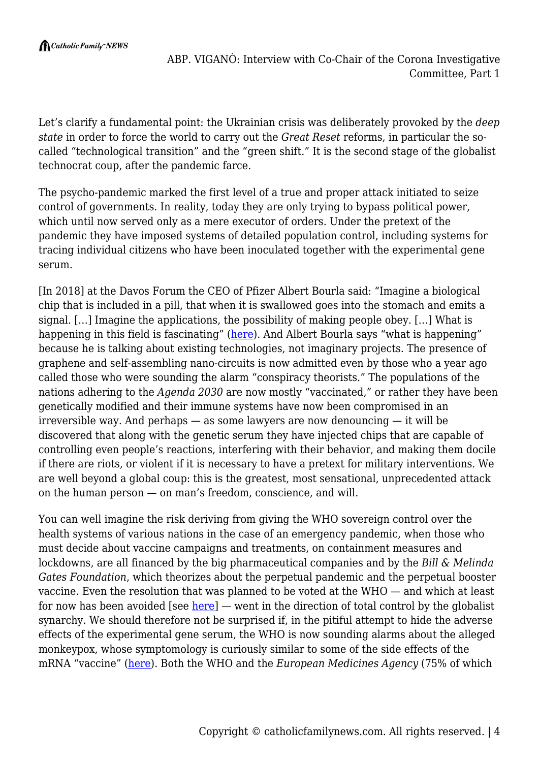Let's clarify a fundamental point: the Ukrainian crisis was deliberately provoked by the *deep state* in order to force the world to carry out the *Great Reset* reforms, in particular the socalled "technological transition" and the "green shift." It is the second stage of the globalist technocrat coup, after the pandemic farce.

The psycho-pandemic marked the first level of a true and proper attack initiated to seize control of governments. In reality, today they are only trying to bypass political power, which until now served only as a mere executor of orders. Under the pretext of the pandemic they have imposed systems of detailed population control, including systems for tracing individual citizens who have been inoculated together with the experimental gene serum.

[In 2018] at the Davos Forum the CEO of Pfizer Albert Bourla said: "Imagine a biological chip that is included in a pill, that when it is swallowed goes into the stomach and emits a signal. […] Imagine the applications, the possibility of making people obey. […] What is happening in this field is fascinating" [\(here](https://scenarieconomici.it/il-ceo-di-pfizer-a-davos-se-potessimo-far-ingerire-un-chip-immaginate-il-grado-di-obbedienza-che-otterremmo/)). And Albert Bourla says "what is happening" because he is talking about existing technologies, not imaginary projects. The presence of graphene and self-assembling nano-circuits is now admitted even by those who a year ago called those who were sounding the alarm "conspiracy theorists." The populations of the nations adhering to the *Agenda 2030* are now mostly "vaccinated," or rather they have been genetically modified and their immune systems have now been compromised in an irreversible way. And perhaps  $-$  as some lawyers are now denouncing  $-$  it will be discovered that along with the genetic serum they have injected chips that are capable of controlling even people's reactions, interfering with their behavior, and making them docile if there are riots, or violent if it is necessary to have a pretext for military interventions. We are well beyond a global coup: this is the greatest, most sensational, unprecedented attack on the human person — on man's freedom, conscience, and will.

You can well imagine the risk deriving from giving the WHO sovereign control over the health systems of various nations in the case of an emergency pandemic, when those who must decide about vaccine campaigns and treatments, on containment measures and lockdowns, are all financed by the big pharmaceutical companies and by the *Bill & Melinda Gates Foundation*, which theorizes about the perpetual pandemic and the perpetual booster vaccine. Even the resolution that was planned to be voted at the WHO — and which at least for now has been avoided [see  $here$ ] — went in the direction of total control by the globalist</u> synarchy. We should therefore not be surprised if, in the pitiful attempt to hide the adverse effects of the experimental gene serum, the WHO is now sounding alarms about the alleged monkeypox, whose symptomology is curiously similar to some of the side effects of the mRNA "vaccine" ([here\)](https://twitter.com/AxlGuidato/status/1529128600011694082). Both the WHO and the *European Medicines Agency* (75% of which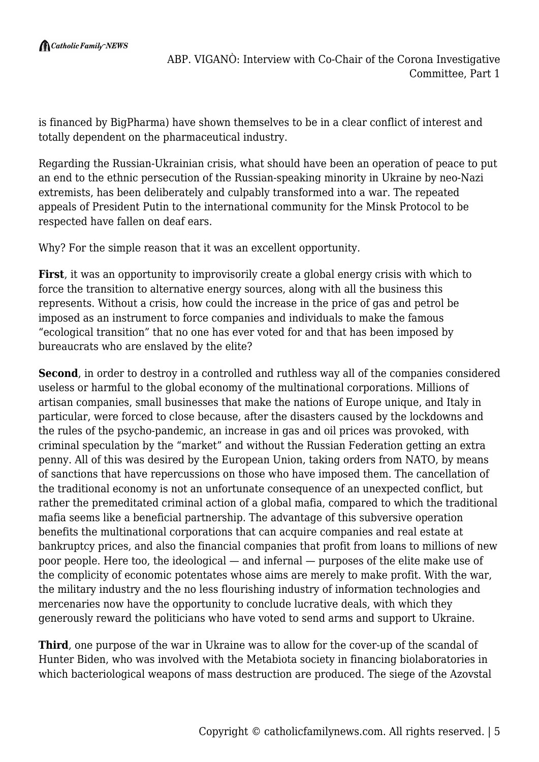is financed by BigPharma) have shown themselves to be in a clear conflict of interest and totally dependent on the pharmaceutical industry.

Regarding the Russian-Ukrainian crisis, what should have been an operation of peace to put an end to the ethnic persecution of the Russian-speaking minority in Ukraine by neo-Nazi extremists, has been deliberately and culpably transformed into a war. The repeated appeals of President Putin to the international community for the Minsk Protocol to be respected have fallen on deaf ears.

Why? For the simple reason that it was an excellent opportunity.

**First**, it was an opportunity to improvisorily create a global energy crisis with which to force the transition to alternative energy sources, along with all the business this represents. Without a crisis, how could the increase in the price of gas and petrol be imposed as an instrument to force companies and individuals to make the famous "ecological transition" that no one has ever voted for and that has been imposed by bureaucrats who are enslaved by the elite?

**Second**, in order to destroy in a controlled and ruthless way all of the companies considered useless or harmful to the global economy of the multinational corporations. Millions of artisan companies, small businesses that make the nations of Europe unique, and Italy in particular, were forced to close because, after the disasters caused by the lockdowns and the rules of the psycho-pandemic, an increase in gas and oil prices was provoked, with criminal speculation by the "market" and without the Russian Federation getting an extra penny. All of this was desired by the European Union, taking orders from NATO, by means of sanctions that have repercussions on those who have imposed them. The cancellation of the traditional economy is not an unfortunate consequence of an unexpected conflict, but rather the premeditated criminal action of a global mafia, compared to which the traditional mafia seems like a beneficial partnership. The advantage of this subversive operation benefits the multinational corporations that can acquire companies and real estate at bankruptcy prices, and also the financial companies that profit from loans to millions of new poor people. Here too, the ideological — and infernal — purposes of the elite make use of the complicity of economic potentates whose aims are merely to make profit. With the war, the military industry and the no less flourishing industry of information technologies and mercenaries now have the opportunity to conclude lucrative deals, with which they generously reward the politicians who have voted to send arms and support to Ukraine.

**Third**, one purpose of the war in Ukraine was to allow for the cover-up of the scandal of Hunter Biden, who was involved with the Metabiota society in financing biolaboratories in which bacteriological weapons of mass destruction are produced. The siege of the Azovstal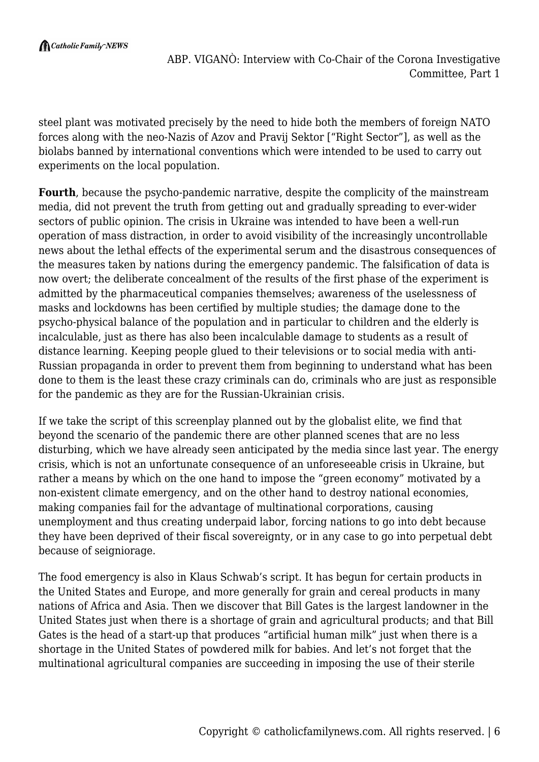steel plant was motivated precisely by the need to hide both the members of foreign NATO forces along with the neo-Nazis of Azov and Pravij Sektor ["Right Sector"], as well as the biolabs banned by international conventions which were intended to be used to carry out experiments on the local population.

**Fourth**, because the psycho-pandemic narrative, despite the complicity of the mainstream media, did not prevent the truth from getting out and gradually spreading to ever-wider sectors of public opinion. The crisis in Ukraine was intended to have been a well-run operation of mass distraction, in order to avoid visibility of the increasingly uncontrollable news about the lethal effects of the experimental serum and the disastrous consequences of the measures taken by nations during the emergency pandemic. The falsification of data is now overt; the deliberate concealment of the results of the first phase of the experiment is admitted by the pharmaceutical companies themselves; awareness of the uselessness of masks and lockdowns has been certified by multiple studies; the damage done to the psycho-physical balance of the population and in particular to children and the elderly is incalculable, just as there has also been incalculable damage to students as a result of distance learning. Keeping people glued to their televisions or to social media with anti-Russian propaganda in order to prevent them from beginning to understand what has been done to them is the least these crazy criminals can do, criminals who are just as responsible for the pandemic as they are for the Russian-Ukrainian crisis.

If we take the script of this screenplay planned out by the globalist elite, we find that beyond the scenario of the pandemic there are other planned scenes that are no less disturbing, which we have already seen anticipated by the media since last year. The energy crisis, which is not an unfortunate consequence of an unforeseeable crisis in Ukraine, but rather a means by which on the one hand to impose the "green economy" motivated by a non-existent climate emergency, and on the other hand to destroy national economies, making companies fail for the advantage of multinational corporations, causing unemployment and thus creating underpaid labor, forcing nations to go into debt because they have been deprived of their fiscal sovereignty, or in any case to go into perpetual debt because of seigniorage.

The food emergency is also in Klaus Schwab's script. It has begun for certain products in the United States and Europe, and more generally for grain and cereal products in many nations of Africa and Asia. Then we discover that Bill Gates is the largest landowner in the United States just when there is a shortage of grain and agricultural products; and that Bill Gates is the head of a start-up that produces "artificial human milk" just when there is a shortage in the United States of powdered milk for babies. And let's not forget that the multinational agricultural companies are succeeding in imposing the use of their sterile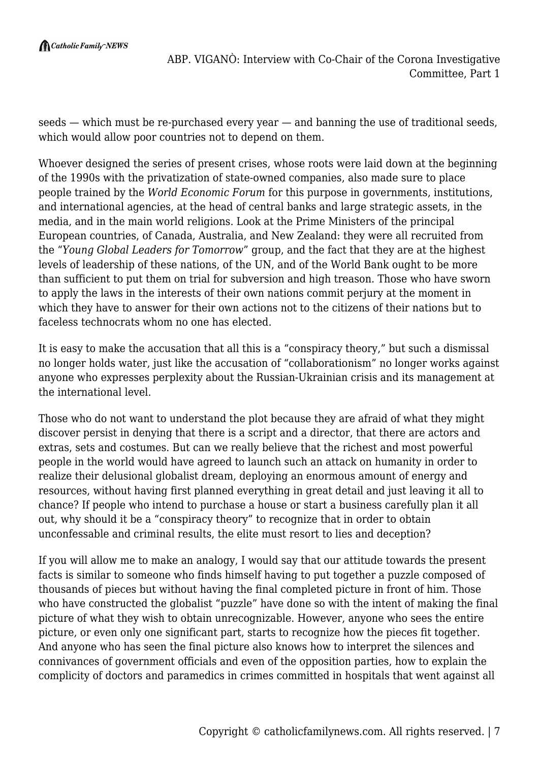seeds — which must be re-purchased every year — and banning the use of traditional seeds, which would allow poor countries not to depend on them.

Whoever designed the series of present crises, whose roots were laid down at the beginning of the 1990s with the privatization of state-owned companies, also made sure to place people trained by the *World Economic Forum* for this purpose in governments, institutions, and international agencies, at the head of central banks and large strategic assets, in the media, and in the main world religions. Look at the Prime Ministers of the principal European countries, of Canada, Australia, and New Zealand: they were all recruited from the "*Young Global Leaders for Tomorrow*" group, and the fact that they are at the highest levels of leadership of these nations, of the UN, and of the World Bank ought to be more than sufficient to put them on trial for subversion and high treason. Those who have sworn to apply the laws in the interests of their own nations commit perjury at the moment in which they have to answer for their own actions not to the citizens of their nations but to faceless technocrats whom no one has elected.

It is easy to make the accusation that all this is a "conspiracy theory," but such a dismissal no longer holds water, just like the accusation of "collaborationism" no longer works against anyone who expresses perplexity about the Russian-Ukrainian crisis and its management at the international level.

Those who do not want to understand the plot because they are afraid of what they might discover persist in denying that there is a script and a director, that there are actors and extras, sets and costumes. But can we really believe that the richest and most powerful people in the world would have agreed to launch such an attack on humanity in order to realize their delusional globalist dream, deploying an enormous amount of energy and resources, without having first planned everything in great detail and just leaving it all to chance? If people who intend to purchase a house or start a business carefully plan it all out, why should it be a "conspiracy theory" to recognize that in order to obtain unconfessable and criminal results, the elite must resort to lies and deception?

If you will allow me to make an analogy, I would say that our attitude towards the present facts is similar to someone who finds himself having to put together a puzzle composed of thousands of pieces but without having the final completed picture in front of him. Those who have constructed the globalist "puzzle" have done so with the intent of making the final picture of what they wish to obtain unrecognizable. However, anyone who sees the entire picture, or even only one significant part, starts to recognize how the pieces fit together. And anyone who has seen the final picture also knows how to interpret the silences and connivances of government officials and even of the opposition parties, how to explain the complicity of doctors and paramedics in crimes committed in hospitals that went against all